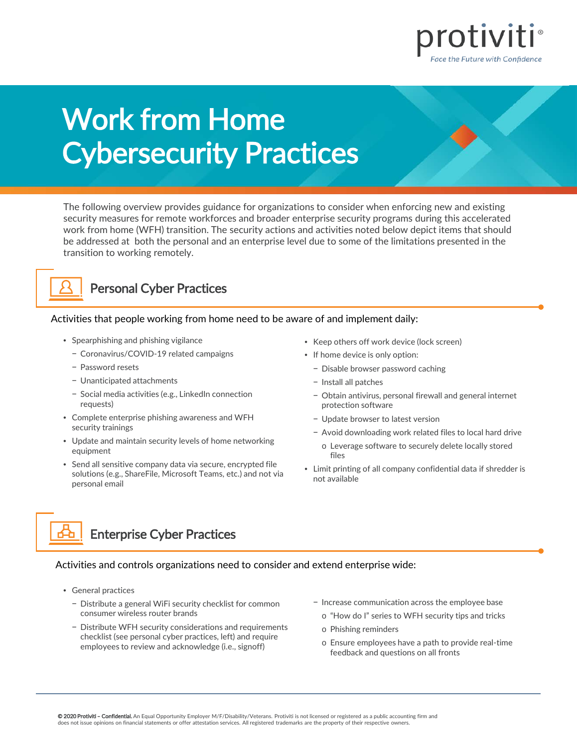

# Work from Home Cybersecurity Practices

The following overview provides guidance for organizations to consider when enforcing new and existing security measures for remote workforces and broader enterprise security programs during this accelerated work from home (WFH) transition. The security actions and activities noted below depict items that should be addressed at both the personal and an enterprise level due to some of the limitations presented in the transition to working remotely.



### Personal Cyber Practices

Activities that people working from home need to be aware of and implement daily:

- Spearphishing and phishing vigilance
	- − Coronavirus/COVID-19 related campaigns
	- − Password resets
	- − Unanticipated attachments
	- − Social media activities (e.g., LinkedIn connection requests)
- Complete enterprise phishing awareness and WFH security trainings
- Update and maintain security levels of home networking equipment
- Send all sensitive company data via secure, encrypted file solutions (e.g., ShareFile, Microsoft Teams, etc.) and not via personal email
- Keep others off work device (lock screen)
- If home device is only option:
	- − Disable browser password caching
	- − Install all patches
	- − Obtain antivirus, personal firewall and general internet protection software
	- − Update browser to latest version
	- − Avoid downloading work related files to local hard drive
		- o Leverage software to securely delete locally stored files
- Limit printing of all company confidential data if shredder is not available

Enterprise Cyber Practices

Activities and controls organizations need to consider and extend enterprise wide:

- General practices
	- − Distribute a general WiFi security checklist for common consumer wireless router brands
	- − Distribute WFH security considerations and requirements checklist (see personal cyber practices, left) and require employees to review and acknowledge (i.e., signoff)
- − Increase communication across the employee base
	- o "How do I" series to WFH security tips and tricks
	- o Phishing reminders
	- o Ensure employees have a path to provide real-time feedback and questions on all fronts